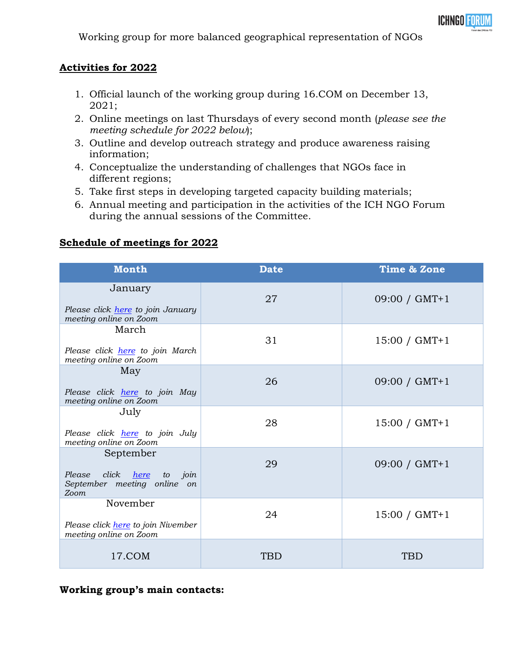

Working group for more balanced geographical representation of NGOs

## **Activities for 2022**

- 1. Official launch of the working group during 16.COM on December 13, 2021;
- 2. Online meetings on last Thursdays of every second month (*please see the meeting schedule for 2022 below*);
- 3. Outline and develop outreach strategy and produce awareness raising information;
- 4. Conceptualize the understanding of challenges that NGOs face in different regions;
- 5. Take first steps in developing targeted capacity building materials;
- 6. Annual meeting and participation in the activities of the ICH NGO Forum during the annual sessions of the Committee.

## **Schedule of meetings for 2022**

| <b>Month</b>                                                                           | <b>Date</b> | Time & Zone     |
|----------------------------------------------------------------------------------------|-------------|-----------------|
| January<br>Please click <i>here</i> to join January<br>meeting online on Zoom          | 27          | 09:00 / GMT+1   |
| March<br>Please click <i>here</i> to join March<br>meeting online on Zoom              | 31          | $15:00 / GMT+1$ |
| May<br>Please click <i>here</i> to join May<br>meeting online on Zoom                  | 26          | $09:00 / GMT+1$ |
| July<br>Please click <i>here</i> to join July<br>meeting online on Zoom                | 28          | $15:00 / GMT+1$ |
| September<br>click<br>Please<br>here<br>to join<br>September meeting online on<br>Zoom | 29          | 09:00 / GMT+1   |
| November<br>Please click <i>here</i> to join Nivember<br>meeting online on Zoom        | 24          | $15:00 / GMT+1$ |
| 17.COM                                                                                 | <b>TBD</b>  | TBD             |

## **Working group's main contacts:**